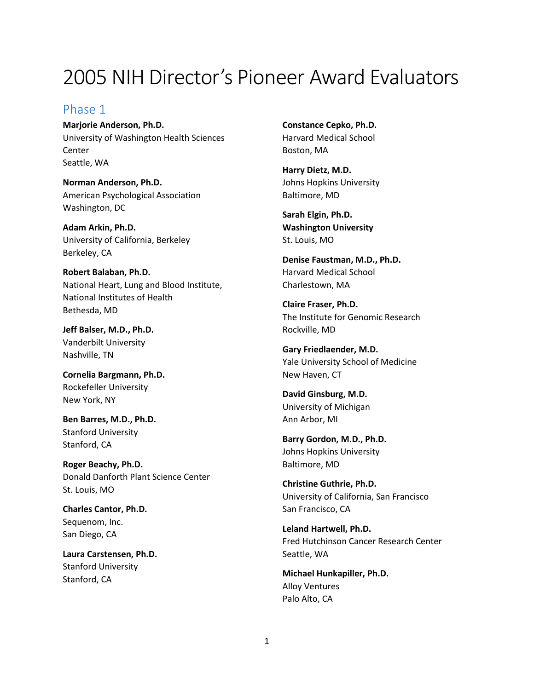# 2005 NIH Director's Pioneer Award Evaluators

#### Phase 1

**Marjorie Anderson, Ph.D.** University of Washington Health Sciences Center Seattle, WA

**Norman Anderson, Ph.D.** American Psychological Association Washington, DC

**Adam Arkin, Ph.D.** University of California, Berkeley Berkeley, CA

**Robert Balaban, Ph.D.** National Heart, Lung and Blood Institute, National Institutes of Health Bethesda, MD

**Jeff Balser, M.D., Ph.D.** Vanderbilt University Nashville, TN

**Cornelia Bargmann, Ph.D.** Rockefeller University New York, NY

**Ben Barres, M.D., Ph.D.** Stanford University Stanford, CA

**Roger Beachy, Ph.D.** Donald Danforth Plant Science Center St. Louis, MO

**Charles Cantor, Ph.D.** Sequenom, Inc. San Diego, CA

**Laura Carstensen, Ph.D.** Stanford University Stanford, CA

**Constance Cepko, Ph.D.** Harvard Medical School Boston, MA

**Harry Dietz, M.D.** Johns Hopkins University Baltimore, MD

**Sarah Elgin, Ph.D. Washington University** St. Louis, MO

**Denise Faustman, M.D., Ph.D.** Harvard Medical School Charlestown, MA

**Claire Fraser, Ph.D.** The Institute for Genomic Research Rockville, MD

**Gary Friedlaender, M.D.** Yale University School of Medicine New Haven, CT

**David Ginsburg, M.D.** University of Michigan Ann Arbor, MI

**Barry Gordon, M.D., Ph.D.** Johns Hopkins University Baltimore, MD

**Christine Guthrie, Ph.D.** University of California, San Francisco San Francisco, CA

**Leland Hartwell, Ph.D.** Fred Hutchinson Cancer Research Center Seattle, WA

**Michael Hunkapiller, Ph.D.** Alloy Ventures Palo Alto, CA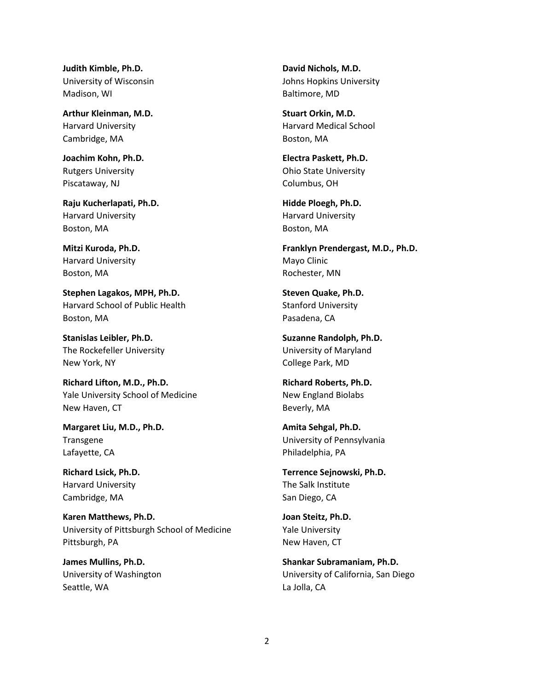**Judith Kimble, Ph.D.** University of Wisconsin Madison, WI

**Arthur Kleinman, M.D.** Harvard University Cambridge, MA

**Joachim Kohn, Ph.D.** Rutgers University Piscataway, NJ

**Raju Kucherlapati, Ph.D.** Harvard University Boston, MA

**Mitzi Kuroda, Ph.D.** Harvard University Boston, MA

**Stephen Lagakos, MPH, Ph.D.** Harvard School of Public Health Boston, MA

**Stanislas Leibler, Ph.D.** The Rockefeller University New York, NY

**Richard Lifton, M.D., Ph.D.** Yale University School of Medicine New Haven, CT

**Margaret Liu, M.D., Ph.D.** Transgene Lafayette, CA

**Richard Lsick, Ph.D.** Harvard University Cambridge, MA

**Karen Matthews, Ph.D.** University of Pittsburgh School of Medicine Pittsburgh, PA

**James Mullins, Ph.D.** University of Washington Seattle, WA

**David Nichols, M.D.** Johns Hopkins University Baltimore, MD

**Stuart Orkin, M.D.** Harvard Medical School Boston, MA

**Electra Paskett, Ph.D.** Ohio State University Columbus, OH

**Hidde Ploegh, Ph.D.** Harvard University Boston, MA

**Franklyn Prendergast, M.D., Ph.D.** Mayo Clinic Rochester, MN

**Steven Quake, Ph.D.** Stanford University Pasadena, CA

**Suzanne Randolph, Ph.D.** University of Maryland College Park, MD

**Richard Roberts, Ph.D.** New England Biolabs Beverly, MA

**Amita Sehgal, Ph.D.** University of Pennsylvania Philadelphia, PA

**Terrence Sejnowski, Ph.D.** The Salk Institute San Diego, CA

**Joan Steitz, Ph.D.** Yale University New Haven, CT

**Shankar Subramaniam, Ph.D.** University of California, San Diego La Jolla, CA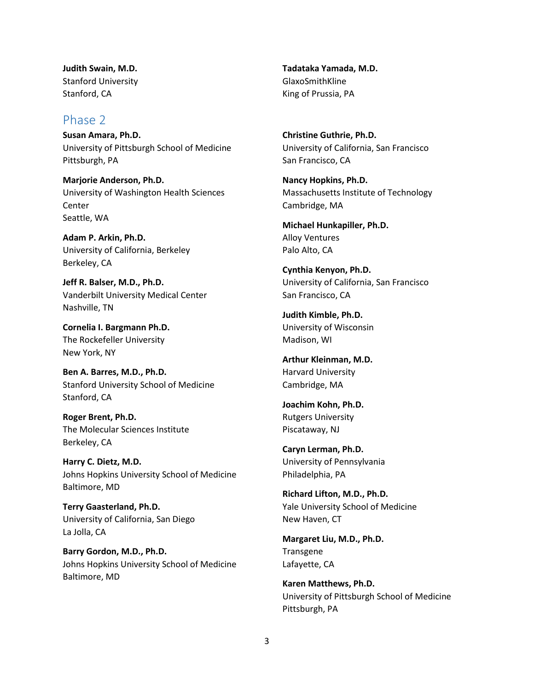**Judith Swain, M.D.** Stanford University Stanford, CA

### Phase 2

**Susan Amara, Ph.D.** University of Pittsburgh School of Medicine Pittsburgh, PA

**Marjorie Anderson, Ph.D.** University of Washington Health Sciences **Center** Seattle, WA

**Adam P. Arkin, Ph.D.** University of California, Berkeley Berkeley, CA

**Jeff R. Balser, M.D., Ph.D.** Vanderbilt University Medical Center Nashville, TN

**Cornelia I. Bargmann Ph.D.** The Rockefeller University New York, NY

**Ben A. Barres, M.D., Ph.D.** Stanford University School of Medicine Stanford, CA

**Roger Brent, Ph.D.** The Molecular Sciences Institute Berkeley, CA

**Harry C. Dietz, M.D.** Johns Hopkins University School of Medicine Baltimore, MD

**Terry Gaasterland, Ph.D.** University of California, San Diego La Jolla, CA

**Barry Gordon, M.D., Ph.D.** Johns Hopkins University School of Medicine Baltimore, MD

**Tadataka Yamada, M.D.** GlaxoSmithKline King of Prussia, PA

**Christine Guthrie, Ph.D.** University of California, San Francisco San Francisco, CA

**Nancy Hopkins, Ph.D.** Massachusetts Institute of Technology Cambridge, MA

**Michael Hunkapiller, Ph.D.** Alloy Ventures Palo Alto, CA

**Cynthia Kenyon, Ph.D.** University of California, San Francisco San Francisco, CA

**Judith Kimble, Ph.D.** University of Wisconsin Madison, WI

**Arthur Kleinman, M.D.** Harvard University Cambridge, MA

**Joachim Kohn, Ph.D.** Rutgers University Piscataway, NJ

**Caryn Lerman, Ph.D.** University of Pennsylvania Philadelphia, PA

**Richard Lifton, M.D., Ph.D.** Yale University School of Medicine New Haven, CT

**Margaret Liu, M.D., Ph.D.** Transgene Lafayette, CA

**Karen Matthews, Ph.D.** University of Pittsburgh School of Medicine Pittsburgh, PA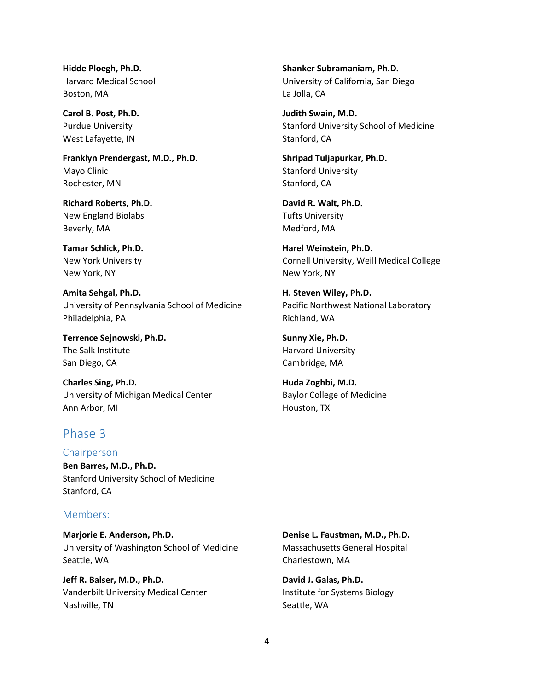**Hidde Ploegh, Ph.D.** Harvard Medical School Boston, MA

**Carol B. Post, Ph.D.** Purdue University West Lafayette, IN

**Franklyn Prendergast, M.D., Ph.D.** Mayo Clinic Rochester, MN

**Richard Roberts, Ph.D.** New England Biolabs Beverly, MA

**Tamar Schlick, Ph.D.** New York University New York, NY

**Amita Sehgal, Ph.D.** University of Pennsylvania School of Medicine Philadelphia, PA

**Terrence Sejnowski, Ph.D.** The Salk Institute San Diego, CA

**Charles Sing, Ph.D.** University of Michigan Medical Center Ann Arbor, MI

## Phase 3

Chairperson

**Ben Barres, M.D., Ph.D.** Stanford University School of Medicine Stanford, CA

#### Members:

**Marjorie E. Anderson, Ph.D.** University of Washington School of Medicine Seattle, WA

**Jeff R. Balser, M.D., Ph.D.** Vanderbilt University Medical Center Nashville, TN

**Shanker Subramaniam, Ph.D.** University of California, San Diego La Jolla, CA

**Judith Swain, M.D.** Stanford University School of Medicine Stanford, CA

**Shripad Tuljapurkar, Ph.D.** Stanford University Stanford, CA

**David R. Walt, Ph.D.** Tufts University Medford, MA

**Harel Weinstein, Ph.D.** Cornell University, Weill Medical College New York, NY

**H. Steven Wiley, Ph.D.** Pacific Northwest National Laboratory Richland, WA

**Sunny Xie, Ph.D.** Harvard University Cambridge, MA

**Huda Zoghbi, M.D.** Baylor College of Medicine Houston, TX

**Denise L. Faustman, M.D., Ph.D.** Massachusetts General Hospital Charlestown, MA

**David J. Galas, Ph.D.** Institute for Systems Biology Seattle, WA